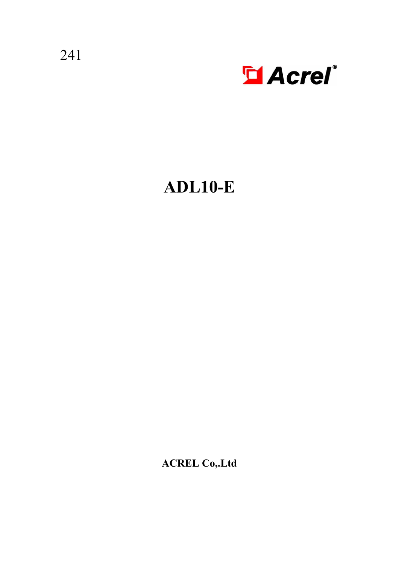241



# **ADL10-E**

**ACREL Co,.Ltd**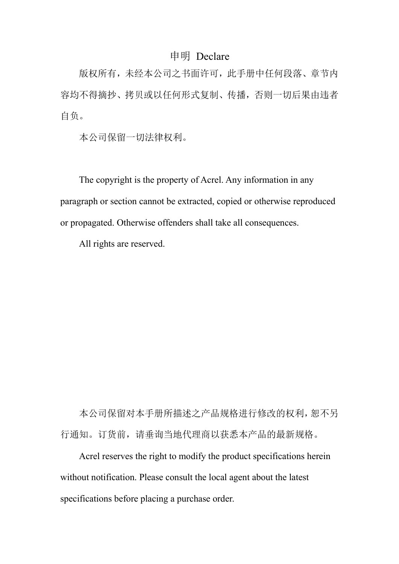# 申明 Declare

版权所有,未经本公司之书面许可,此手册中任何段落、章节内 容均不得摘抄、拷贝或以任何形式复制、传播,否则一切后果由违者 自负。

本公司保留一切法律权利。

The copyright is the property of Acrel. Any information in any paragraph or section cannot be extracted, copied or otherwise reproduced or propagated. Otherwise offenders shall take all consequences.

All rights are reserved.

本公司保留对本手册所描述之产品规格进行修改的权利,恕不另 行通知。订货前,请垂询当地代理商以获悉本产品的最新规格。

Acrel reserves the right to modify the product specifications herein without notification. Please consult the local agent about the latest specifications before placing a purchase order.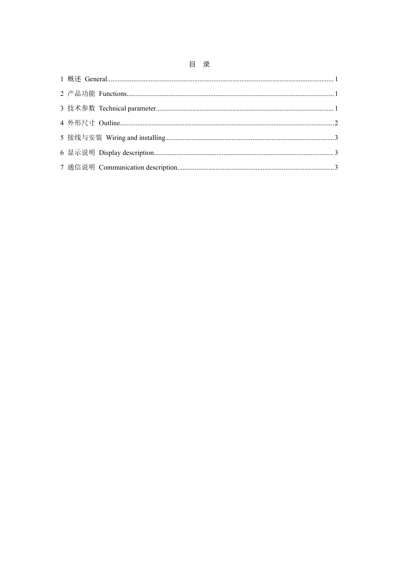# 目录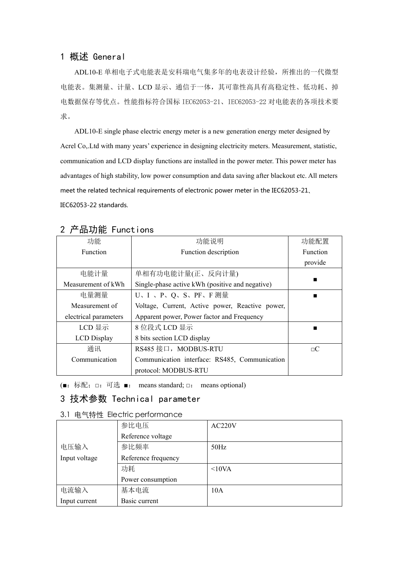#### <span id="page-3-0"></span>1 概述 General

ADL10-E 单相电子式电能表是安科瑞电气集多年的电表设计经验,所推出的一代微型 电能表。集测量、计量、LCD 显示、通信于一体,其可靠性高具有高稳定性、低功耗、掉 电数据保存等优点。性能指标符合国标 IEC62053-21、IEC62053-22 对电能表的各项技术要 求。

ADL10-E single phase electric energy meter is a new generation energy meter designed by Acrel Co,.Ltd with many years' experience in designing electricity meters. Measurement, statistic, communication and LCD display functions are installed in the power meter. This power meter has advantages ofhigh stability, low power consumption and data saving after blackout etc. All meters meet the related technical requirements of electronic power meter in the IEC62053-21、 IEC62053-22 standards.

| . <i>. .</i>          |                                                 |          |
|-----------------------|-------------------------------------------------|----------|
| 功能                    | 功能说明                                            | 功能配置     |
| Function              | Function description                            | Function |
|                       |                                                 | provide  |
| 电能计量                  | 单相有功电能计量(正、反向计量)                                |          |
| Measurement of kWh    | Single-phase active kWh (positive and negative) |          |
| 电量测量                  | U、I、P、Q、S、PF、F测量                                |          |
| Measurement of        | Voltage, Current, Active power, Reactive power, |          |
| electrical parameters | Apparent power, Power factor and Frequency      |          |
| $LCDE$ 示              | 8 位段式 LCD 显示                                    |          |
| <b>LCD</b> Display    | 8 bits section LCD display                      |          |
| 通讯                    | RS485 接口, MODBUS-RTU                            | $\Box C$ |
| Communication         | Communication interface: RS485, Communication   |          |
|                       | protocol: MODBUS-RTU                            |          |

# <span id="page-3-1"></span>2 产品功能 Functions

<span id="page-3-2"></span>(■:标配;□:可选 ■: means standard; □: means optional)

#### 3 技术参数 Technical parameter

#### 3.1 电气特性 Electric performance

|               | 参比电压                | AC220V |
|---------------|---------------------|--------|
|               | Reference voltage   |        |
| 电压输入          | 参比频率                | 50Hz   |
| Input voltage | Reference frequency |        |
|               | 功耗                  | <10VA  |
|               | Power consumption   |        |
| 电流输入          | 基本电流                | 10A    |
| Input current | Basic current       |        |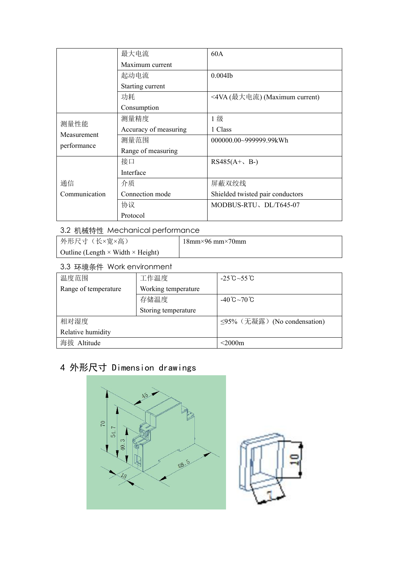|               | 最大电流                  | 60A                              |
|---------------|-----------------------|----------------------------------|
|               | Maximum current       |                                  |
|               | 起动电流                  | $0.004$ Ib                       |
|               | Starting current      |                                  |
|               | 功耗                    | <4VA (最大电流) (Maximum current)    |
|               | Consumption           |                                  |
| 测量性能          | 测量精度                  | 1级                               |
| Measurement   | Accuracy of measuring | 1 Class                          |
| performance   | 测量范围                  | 000000.00~999999.99kWh           |
|               | Range of measuring    |                                  |
|               | 接口                    | $RS485(A+, B-)$                  |
|               | Interface             |                                  |
| 通信            | 介质                    | 屏蔽双绞线                            |
| Communication | Connection mode       | Shielded twisted pair conductors |
|               | 协议                    | MODBUS-RTU、DL/T645-07            |
|               | Protocol              |                                  |

## 3.2 机械特性 Mechanical performance

| 外形尺寸(长×宽×高)                                     | $18$ mm×96 mm×70mm |
|-------------------------------------------------|--------------------|
| Outline (Length $\times$ Width $\times$ Height) |                    |

#### 3.3 环境条件 Work environment

| 温度范围                 | 工作温度                | $-25^{\circ}\text{C} \sim 55^{\circ}\text{C}$ |
|----------------------|---------------------|-----------------------------------------------|
| Range of temperature | Working temperature |                                               |
|                      | 存储温度                | $-40^{\circ}C - 70^{\circ}C$                  |
|                      | Storing temperature |                                               |
| 相对湿度                 |                     | ≤95% (无凝露) (No condensation)                  |
| Relative humidity    |                     |                                               |
| 海拔 Altitude          |                     | $<$ 2000m                                     |

# <span id="page-4-0"></span>4 外形尺寸 Dimension drawings

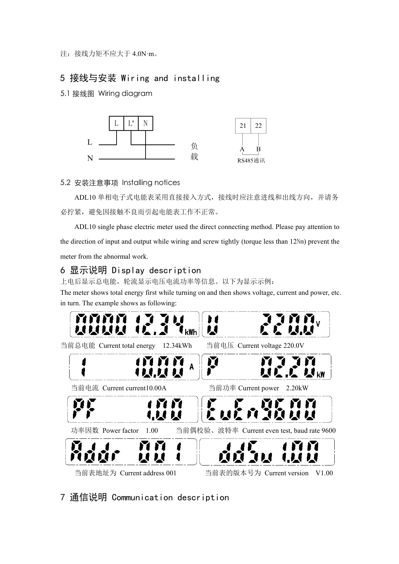注:接线力矩不应大于 4.0N·m。

# <span id="page-5-0"></span>5 接线与安装 Wiring and installing

5.1 接线图 Wiring diagram



#### 5.2 安装注意事项 Installing notices

ADL10 单相电子式电能表采用直接接入方式,接线时应注意进线和出线方向,并请务 必拧紧,避免因接触不良而引起电能表工作不正常。

ADL10 single phase electric meter used the direct connecting method. Please pay attention to the direction of input and output while wiring and screw tightly (torque less than 12Nm) prevent the meter from the abnormal work.

#### <span id="page-5-1"></span>6 显示说明 Display description

上电后显示总电能,轮流显示电压电流功率等信息。以下为显示示例:

The meter shows total energy first while turning on and then shows voltage, current and power, etc. in turn. The example shows as following:



# <span id="page-5-2"></span>7 通信说明 Communication description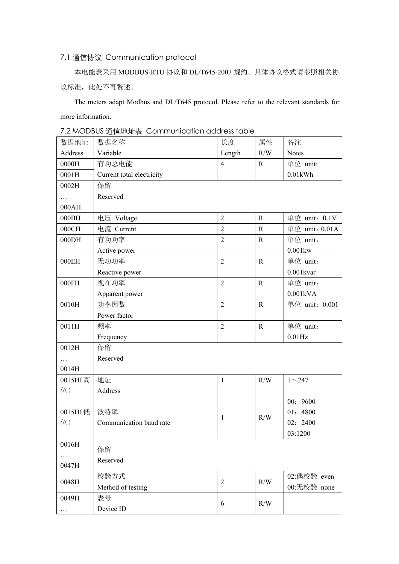### 7.1 通信协议 Communication protocol

本电能表采用 MODBUS-RTU 协议和 DL/T645-2007 规约。具体协议格式请参照相关协 议标准, 此处不再赘述。

The meters adapt Modbus and DL/T645 protocol. Please refer to the relevant standards for more information.

|  | 7.2 MODBUS 通信地址表 Communication address table |  |
|--|----------------------------------------------|--|
|--|----------------------------------------------|--|

| 数据地址             | 数据名称                      | 长度             | 属性          | 备注             |  |  |
|------------------|---------------------------|----------------|-------------|----------------|--|--|
| Address          | Variable                  | Length         | R/W         | <b>Notes</b>   |  |  |
| $0000\mathrm{H}$ | 有功总电能                     | $\overline{4}$ | $\mathbf R$ | 单位 unit:       |  |  |
| 0001H            | Current total electricity |                |             | $0.01$ kWh     |  |  |
| 0002H            | 保留                        |                |             |                |  |  |
| $\cdots$         | Reserved                  |                |             |                |  |  |
| 000AH            |                           |                |             |                |  |  |
| 000BH            | 电压 Voltage                | $\overline{2}$ | $\mathbf R$ | 单位 unit: 0.1V  |  |  |
| $000\mathrm{CH}$ | 电流 Current                | $\overline{2}$ | ${\bf R}$   | 单位 unit: 0.01A |  |  |
| 000DH            | 有功功率                      | $\overline{c}$ | ${\bf R}$   | 单位 unit:       |  |  |
|                  | Active power              |                |             | $0.001$ kw     |  |  |
| 000EH            | 无功功率                      | $\overline{2}$ | $\mathbf R$ | 单位 unit:       |  |  |
|                  | Reactive power            |                |             | $0.001$ kvar   |  |  |
| $000FH$          | 视在功率                      | $\overline{2}$ | ${\bf R}$   | 单位 unit:       |  |  |
|                  | Apparent power            |                |             | 0.001kVA       |  |  |
| 0010H            | 功率因数                      | $\overline{2}$ | ${\bf R}$   | 单位 unit: 0.001 |  |  |
|                  | Power factor              |                |             |                |  |  |
| 0011H            | 频率                        | $\overline{c}$ | ${\bf R}$   | 单位 unit:       |  |  |
|                  | Frequency                 |                |             | $0.01$ Hz      |  |  |
| 0012H            | 保留                        |                |             |                |  |  |
| $\ldots$         | Reserved                  |                |             |                |  |  |
| 0014H            |                           |                |             |                |  |  |
| 0015H(高          | 地址                        | $\mathbf{1}$   | R/W         | $1 - 247$      |  |  |
| 位)               | Address                   |                |             |                |  |  |
|                  |                           |                |             | 00: 9600       |  |  |
| 0015H(低          | 波特率                       | $\mathbf{1}$   | R/W         | 01: 4800       |  |  |
| 位)               | Communication baud rate   |                |             | 02: 2400       |  |  |
|                  |                           |                |             | 03:1200        |  |  |
| 0016H            | 保留                        |                |             |                |  |  |
| $\cdots$         | Reserved                  |                |             |                |  |  |
| 0047H            |                           |                |             |                |  |  |
| 0048H            | 校验方式                      | $\overline{2}$ | R/W         | 02: 偶校验 even   |  |  |
|                  | Method of testing         |                |             | 00:无校验 none    |  |  |
| 0049H            | 表号                        | 6              | R/W         |                |  |  |
|                  | Device ID                 |                |             |                |  |  |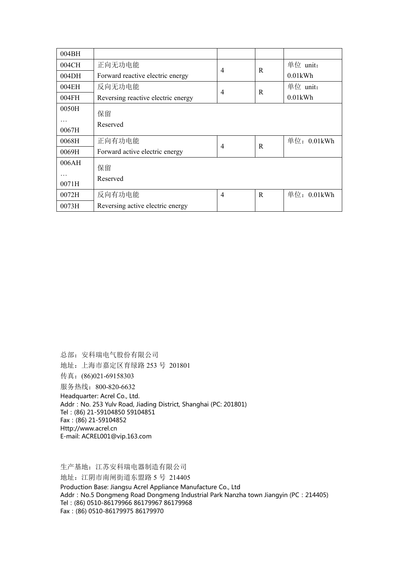| 004BH    |                                    |                |             |             |
|----------|------------------------------------|----------------|-------------|-------------|
| 004CH    | 正向无功电能                             |                | $\mathbf R$ | 单位 unit:    |
| 004DH    | Forward reactive electric energy   | $\overline{4}$ |             | $0.01$ kWh  |
| 004EH    | 反向无功电能                             |                | $\mathbf R$ | 单位 unit:    |
| 004FH    | Reversing reactive electric energy | $\overline{4}$ |             | $0.01$ kWh  |
| 0050H    | 保留                                 |                |             |             |
| $\cdots$ |                                    |                |             |             |
| 0067H    | Reserved                           |                |             |             |
| 0068H    | 正向有功电能                             |                |             | 单位: 0.01kWh |
| 0069H    | Forward active electric energy     | $\overline{4}$ | $\mathbf R$ |             |
| 006AH    | 保留                                 |                |             |             |
| $\cdots$ |                                    |                |             |             |
| 0071H    | Reserved                           |                |             |             |
| 0072H    | 反向有功电能                             | $\overline{4}$ | $\mathbf R$ | 单位: 0.01kWh |
| 0073H    | Reversing active electric energy   |                |             |             |

总部:安科瑞电气股份有限公司 地址:上海市嘉定区育绿路 253 号 201801 传真:(86)021-69158303 服务热线: 800-820-6632 Headquarter: Acrel Co., Ltd. Addr: No. 253 Yulv Road, Jiading District, Shanghai (PC: 201801) Tel:(86) 21-59104850 59104851 Fax:(86) 21-59104852 Http://www.acrel.cn E-mail: ACREL001@vip.163.com

生产基地:江苏安科瑞电器制造有限公司 地址:江阴市南闸街道东盟路 5 号 214405 Production Base: Jiangsu Acrel Appliance Manufacture Co., Ltd Addr: No.5 Dongmeng Road Dongmeng Industrial Park Nanzha town Jiangyin (PC: 214405) Tel:(86) 0510-86179966 86179967 86179968 Fax:(86) 0510-86179975 86179970